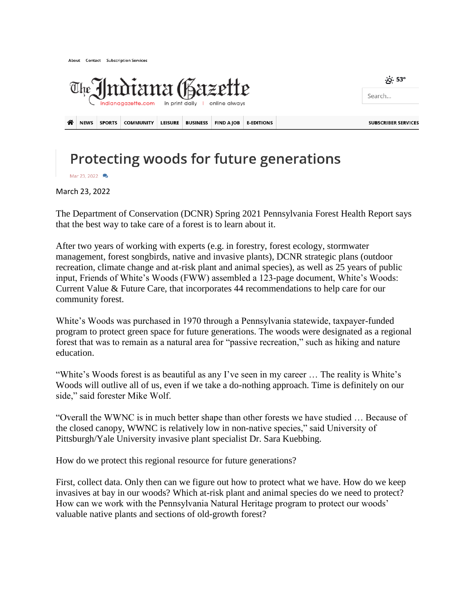| The Immigrate.com in print doily I online always |             |               |                  |                |                 |                   |                   | <u>න</u> 53°<br>Search     |
|--------------------------------------------------|-------------|---------------|------------------|----------------|-----------------|-------------------|-------------------|----------------------------|
| 各                                                | <b>NEWS</b> | <b>SPORTS</b> | <b>COMMUNITY</b> | <b>LEISURE</b> | <b>BUSINESS</b> | <b>FIND A JOB</b> | <b>E-EDITIONS</b> | <b>SUBSCRIBER SERVICES</b> |

## Protecting woods for future generations

Mar 23, 2022

About Contact Subscription Services

March 23, 2022

The Department of Conservation (DCNR) Spring 2021 Pennsylvania Forest Health Report says that the best way to take care of a forest is to learn about it.

After two years of working with experts (e.g. in forestry, forest ecology, stormwater management, forest songbirds, native and invasive plants), DCNR strategic plans (outdoor recreation, climate change and at-risk plant and animal species), as well as 25 years of public input, Friends of White's Woods (FWW) assembled a 123-page document, White's Woods: Current Value & Future Care, that incorporates 44 recommendations to help care for our community forest.

White's Woods was purchased in 1970 through a Pennsylvania statewide, taxpayer-funded program to protect green space for future generations. The woods were designated as a regional forest that was to remain as a natural area for "passive recreation," such as hiking and nature education.

"White's Woods forest is as beautiful as any I've seen in my career … The reality is White's Woods will outlive all of us, even if we take a do-nothing approach. Time is definitely on our side," said forester Mike Wolf.

"Overall the WWNC is in much better shape than other forests we have studied … Because of the closed canopy, WWNC is relatively low in non-native species," said University of Pittsburgh/Yale University invasive plant specialist Dr. Sara Kuebbing.

How do we protect this regional resource for future generations?

First, collect data. Only then can we figure out how to protect what we have. How do we keep invasives at bay in our woods? Which at-risk plant and animal species do we need to protect? How can we work with the Pennsylvania Natural Heritage program to protect our woods' valuable native plants and sections of old-growth forest?